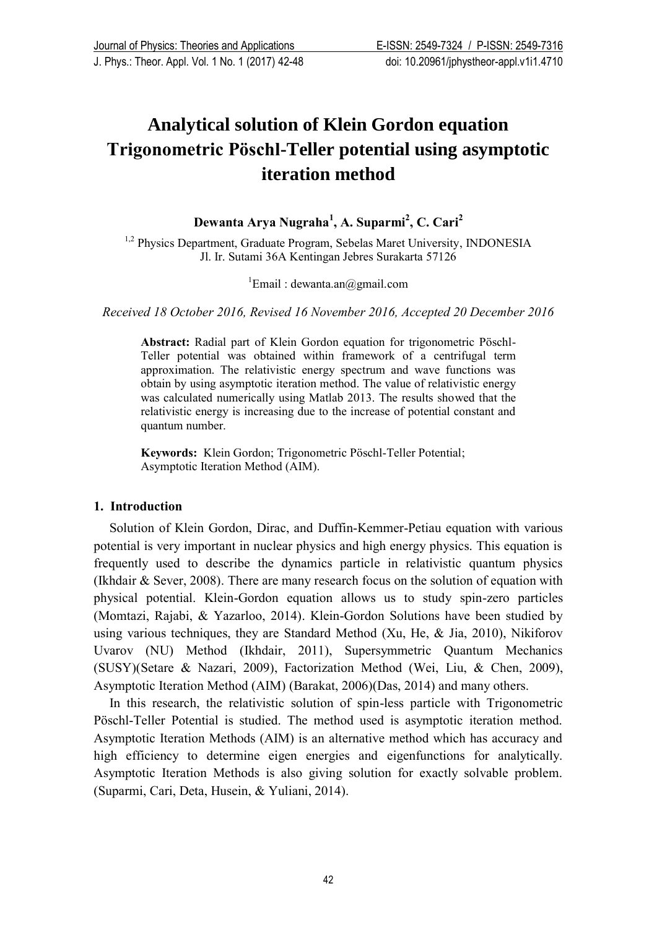# **Analytical solution of Klein Gordon equation Trigonometric Pӧschl-Teller potential using asymptotic iteration method**

**Dewanta Arya Nugraha<sup>1</sup> , A. Suparmi<sup>2</sup> , C. Cari<sup>2</sup>**

<sup>1,2</sup> Physics Department, Graduate Program, Sebelas Maret University, INDONESIA Jl. Ir. Sutami 36A Kentingan Jebres Surakarta 57126

<sup>1</sup>Email : dewanta.an@gmail.com

*Received 18 October 2016, Revised 16 November 2016, Accepted 20 December 2016*

**Abstract:** Radial part of Klein Gordon equation for trigonometric Pӧschl-Teller potential was obtained within framework of a centrifugal term approximation. The relativistic energy spectrum and wave functions was obtain by using asymptotic iteration method. The value of relativistic energy was calculated numerically using Matlab 2013. The results showed that the relativistic energy is increasing due to the increase of potential constant and quantum number.

**Keywords:**Klein Gordon; Trigonometric Pӧschl-Teller Potential; Asymptotic Iteration Method (AIM).

# **1. Introduction**

Solution of Klein Gordon, Dirac, and Duffin-Kemmer-Petiau equation with various potential is very important in nuclear physics and high energy physics. This equation is frequently used to describe the dynamics particle in relativistic quantum physics (Ikhdair & Sever, 2008). There are many research focus on the solution of equation with physical potential. Klein-Gordon equation allows us to study spin-zero particles (Momtazi, Rajabi, & Yazarloo, 2014). Klein-Gordon Solutions have been studied by using various techniques, they are Standard Method (Xu, He, & Jia, 2010), Nikiforov Uvarov (NU) Method (Ikhdair, 2011), Supersymmetric Quantum Mechanics (SUSY)(Setare & Nazari, 2009), Factorization Method (Wei, Liu, & Chen, 2009), Asymptotic Iteration Method (AIM) (Barakat, 2006)(Das, 2014) and many others.

In this research, the relativistic solution of spin-less particle with Trigonometric Pӧschl-Teller Potential is studied. The method used is asymptotic iteration method. Asymptotic Iteration Methods (AIM) is an alternative method which has accuracy and high efficiency to determine eigen energies and eigenfunctions for analytically. Asymptotic Iteration Methods is also giving solution for exactly solvable problem. (Suparmi, Cari, Deta, Husein, & Yuliani, 2014).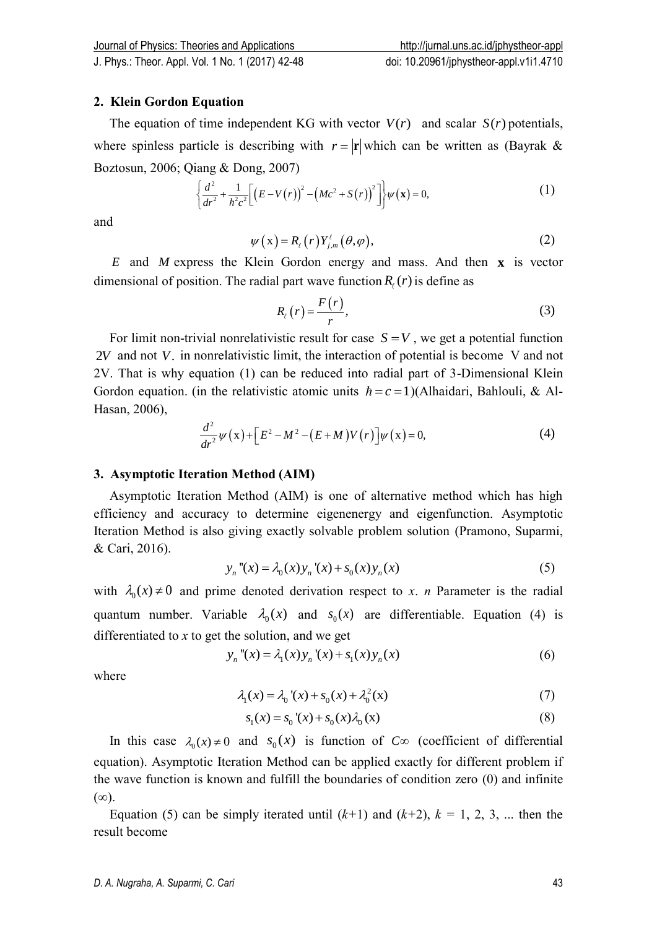## **2. Klein Gordon Equation**

The equation of time independent KG with vector  $V(r)$  and scalar  $S(r)$  potentials, where spinless particle is describing with  $r = |\mathbf{r}|$  which can be written as (Bayrak & Boztosun, 2006; Qiang & Dong, 2007)

$$
\begin{aligned}\n&\text{iang & Dong, 2007)}\\
\left\{\frac{d^2}{dr^2} + \frac{1}{\hbar^2 c^2} \Big[ \big(E - V(r)\big)^2 - \big(Mc^2 + S(r)\big)^2 \Big] \right\} \psi(\mathbf{x}) = 0,\n\end{aligned} \tag{1}
$$

and

$$
\psi(x) = R_{\ell}(r) Y_{j,m}^{\ell}(\theta, \varphi), \qquad (2)
$$

*E* and *M* express the Klein Gordon energy and mass. And then **x** is vector dimensional of position. The radial part wave function  $R_r(r)$  is define as

$$
R_{\ell}(r) = \frac{F(r)}{r},\tag{3}
$$

For limit non-trivial nonrelativistic result for case  $S = V$ , we get a potential function 2*V* and not *V*. in nonrelativistic limit, the interaction of potential is become V and not 2V. That is why equation (1) can be reduced into radial part of 3-Dimensional Klein Gordon equation. (in the relativistic atomic units  $\hbar = c = 1$ )(Alhaidari, Bahlouli, & Al-Hasan, 2006),

$$
\frac{d^2}{dr^2}\psi(x) + \left[E^2 - M^2 - (E + M)V(r)\right]\psi(x) = 0,
$$
\n(4)

### **3. Asymptotic Iteration Method (AIM)**

Asymptotic Iteration Method (AIM) is one of alternative method which has high efficiency and accuracy to determine eigenenergy and eigenfunction. Asymptotic Iteration Method is also giving exactly solvable problem solution (Pramono, Suparmi, & Cari, 2016).

$$
y_n''(x) = \lambda_0(x) y_n'(x) + s_0(x) y_n(x)
$$
 (5)

with  $\lambda_0(x) \neq 0$  and prime denoted derivation respect to *x*. *n* Parameter is the radial quantum number. Variable  $\lambda_0(x)$  and  $s_0(x)$  are differentiable. Equation (4) is differentiated to *x* to get the solution, and we get<br>  $y_n''(x) = \lambda_1(x) y_n'(x) + s_1(x) y_n(x)$ 

$$
y_n''(x) = \lambda_1(x) y_n'(x) + s_1(x) y_n(x)
$$
 (6)

where

$$
\lambda_1(x) = \lambda_0'(x) + s_0(x) + \lambda_0^2(x)
$$
 (7)

$$
s_1(x) = s_0'(x) + s_0(x)\lambda_0(x)
$$
 (8)

In this case  $\lambda_0(x) \neq 0$  and  $s_0(x)$  is function of  $C \infty$  (coefficient of differential equation). Asymptotic Iteration Method can be applied exactly for different problem if the wave function is known and fulfill the boundaries of condition zero (0) and infinite  $(\infty)$ .

Equation (5) can be simply iterated until  $(k+1)$  and  $(k+2)$ ,  $k = 1, 2, 3, ...$  then the result become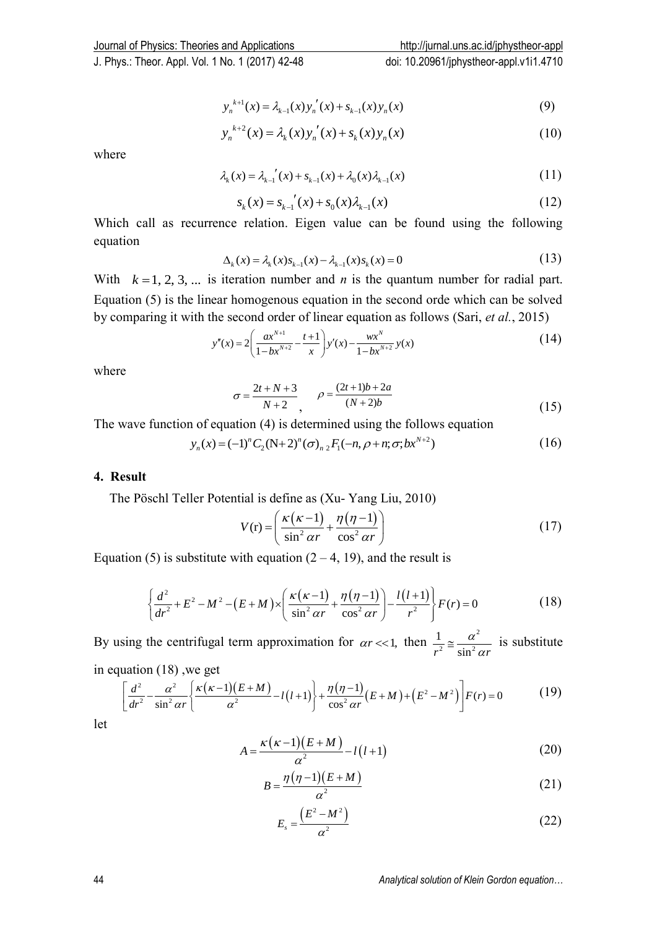$$
y_n^{k+1}(x) = \lambda_{k-1}(x) y_n'(x) + s_{k-1}(x) y_n(x)
$$
\n(9)

$$
y_n^{k+2}(x) = \lambda_k(x) y_n'(x) + s_k(x) y_n(x)
$$
\n(10)

where

$$
\lambda_{k}(x) = \lambda_{k-1}'(x) + s_{k-1}(x) + \lambda_{0}(x)\lambda_{k-1}(x)
$$
\n(11)

$$
s_k(x) = s_{k-1}'(x) + s_0(x)\lambda_{k-1}(x)
$$
\n(12)

Which call as recurrence relation. Eigen value can be found using the following equation

$$
\Delta_k(x) = \lambda_k(x) s_{k-1}(x) - \lambda_{k-1}(x) s_k(x) = 0
$$
\n(13)

 $y_n^{(n)}(x) = \lambda_n(x) y'_n(x) + x_n(x) y_n(x)$  (9)<br>
where<br>
where<br>
where<br>  $\lambda_n(x) = \lambda_n(x) + \lambda_n(x) + \lambda_n(x) \lambda_n(x)$  (11)<br>
which call as  $\tau_n(x) = \lambda_n(x) + \lambda_n(x) + \lambda_n(x) \lambda_n(x)$  (12)<br>
Which call as recurrence relation. Hogen value can be found using the follo With  $k = 1, 2, 3, ...$  is iteration number and *n* is the quantum number for radial part. Equation (5) is the linear homogenous equation in the second orde which can be solved

by comparing it with the second order of linear equation as follows (Sari, *et al.*, 2015)  

$$
y''(x) = 2\left(\frac{ax^{N+1}}{1-bx^{N+2}} - \frac{t+1}{x}\right)y'(x) - \frac{wx^N}{1-bx^{N+2}}y(x)
$$
(14)

where

$$
\sigma = \frac{2t + N + 3}{N + 2}, \qquad \rho = \frac{(2t + 1)b + 2a}{(N + 2)b} \tag{15}
$$

The wave function of equation (4) is determined using the follows equation<br>  $y_n(x) = (-1)^n C_2(N+2)^n (\sigma)_{n/2} F_1(-n, \rho + n; \sigma; bx^{N+2})$ 

$$
y_n(x) = (-1)^n C_2 (N+2)^n (\sigma)_{n \, 2} F_1(-n, \rho + n; \sigma; bx^{N+2})
$$
\n(16)

#### **4. Result**

The Pӧschl Teller Potential is define as (Xu- Yang Liu, 2010)

$$
V(r) = \left(\frac{\kappa(\kappa - 1)}{\sin^2 \alpha r} + \frac{\eta(\eta - 1)}{\cos^2 \alpha r}\right)
$$
(17)

Equation (5) is substitute with equation 
$$
(2-4, 19)
$$
, and the result is  
\n
$$
\left\{\frac{d^2}{dr^2} + E^2 - M^2 - (E+M) \times \left(\frac{\kappa(\kappa-1)}{\sin^2 \alpha r} + \frac{\eta(\eta-1)}{\cos^2 \alpha r}\right) - \frac{l(l+1)}{r^2}\right\} F(r) = 0
$$
\n(18)

By using the centrifugal term approximation for  $\alpha r \ll 1$ , then  $\frac{1}{r^2} \approx \frac{\alpha^2}{r^2}$  $2 - \sin^2$ 1  $r^2$ <sup>-</sup> sin<sup>2</sup>  $\alpha r$  $\alpha$ In the centrifugal term approximation for  $\alpha r \ll 1$ , then  $\frac{1}{r^2} \approx \frac{\alpha}{\sin^2 \alpha r}$  is substitute<br>
tion (18), we get<br>  $\frac{d^2}{dr^2} - \frac{\alpha^2}{\sin^2 \alpha r} \left\{ \frac{\kappa(\kappa-1)(E+M)}{\alpha^2} - l(l+1) \right\} + \frac{\eta(\eta-1)}{\cos^2 \alpha r} (E+M) + (E^2 - M^2) \Bigg] F(r)$ 

in equation (18), we get  
\n
$$
\int d^2 \alpha^2 \left[ \kappa (\kappa - 1)(E + M) \right] \eta (\eta - 1)
$$

\n The sum of the central number of terms of the first term is given by:\n 
$$
\frac{\partial}{\partial t} \sin^2 \alpha t = \frac{\alpha^2}{\sin^2 \alpha t} = \frac{1}{\sin^2 \alpha t}
$$
\n The sum of the first term is given by:\n  $\left[ \frac{d^2}{dr^2} - \frac{\alpha^2}{\sin^2 \alpha t} \left\{ \frac{\kappa(\kappa - 1)(E + M)}{\alpha^2} - l(l + 1) \right\} + \frac{\eta(\eta - 1)}{\cos^2 \alpha t} (E + M) + \left( E^2 - M^2 \right) \right] F(r) = 0$ \n (19)\n

let

$$
A = \frac{\kappa(\kappa - 1)(E + M)}{\alpha^2} - l(l + 1)
$$
\n(20)

$$
B = \frac{\eta(\eta - 1)(E + M)}{\alpha^2} \tag{21}
$$

$$
E_s = \frac{\left(E^2 - M^2\right)}{\alpha^2} \tag{22}
$$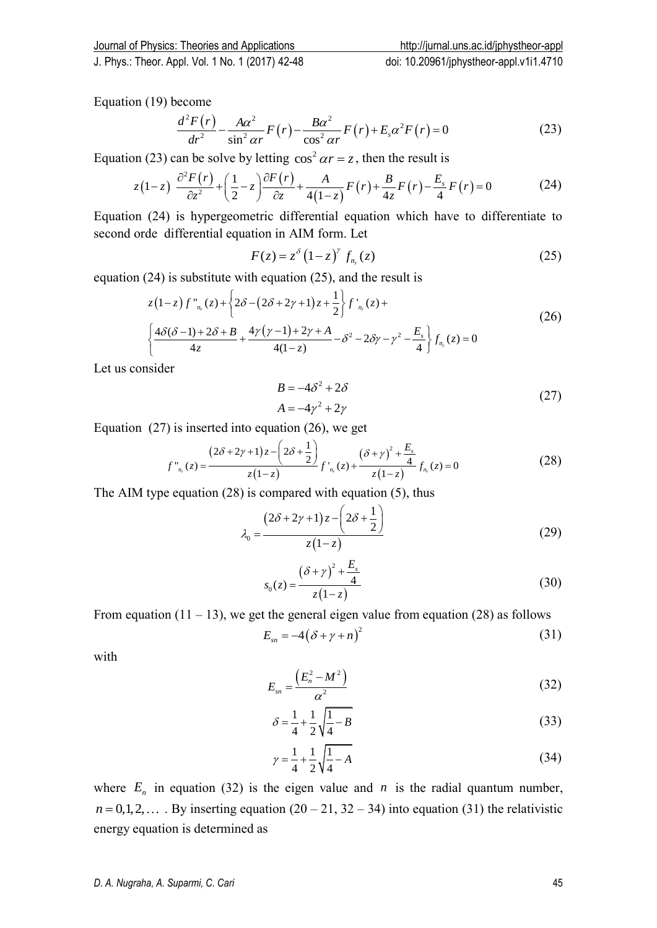Equation (19) become

$$
\frac{d^2 F(r)}{dr^2} - \frac{A\alpha^2}{\sin^2 \alpha r} F(r) - \frac{B\alpha^2}{\cos^2 \alpha r} F(r) + E_s \alpha^2 F(r) = 0
$$
\n(23)

Equation (23) can be solve by letting  $\cos^2 \alpha r = z$ , then the result is

$$
dr^{2} \sin^{2} ar^{F(r)} \cos^{2} ar^{F(r)+L_{s}^{2}} \sin F(r)-0
$$
\n
$$
\ln (23) \text{ can be solve by letting } \cos^{2} ar = z, \text{ then the result is}
$$
\n
$$
z(1-z) \frac{\partial^{2} F(r)}{\partial z^{2}} + \left(\frac{1}{2} - z\right) \frac{\partial F(r)}{\partial z} + \frac{A}{4(1-z)} F(r) + \frac{B}{4z} F(r) - \frac{E_{s}}{4} F(r) = 0
$$
\n
$$
(24)
$$

Equation (24) is hypergeometric differential equation which have to differentiate to second orde differential equation in AIM form. Let

$$
F(z) = z^{\delta} \left(1 - z\right)^{\gamma} f_{n_r}(z) \tag{25}
$$

equation (24) is substitute with equation (25), and the result is

$$
F(z) = z^{2} (1-z) J_{n_{r}}(z)
$$
\n(23)  
\n24) is substitute with equation (25), and the result is  
\n
$$
z(1-z) f_{n_{r}}^{n}(z) + \left\{ 2\delta - (2\delta + 2\gamma + 1)z + \frac{1}{2} \right\} f_{n_{r}}^{n}(z) +
$$
\n
$$
\left\{ \frac{4\delta(\delta - 1) + 2\delta + B}{4z} + \frac{4\gamma(\gamma - 1) + 2\gamma + A}{4(1-z)} - \delta^{2} - 2\delta\gamma - \gamma^{2} - \frac{E_{s}}{4} \right\} f_{n_{r}}(z) = 0
$$
\n(26)

Let us consider

$$
B = -4\delta^2 + 2\delta
$$
  
\n
$$
A = -4\gamma^2 + 2\gamma
$$
\n(27)

Equation (27) is inserted into equation (26), we get  
\n
$$
f''_{n_r}(z) = \frac{(2\delta + 2\gamma + 1)z - (2\delta + \frac{1}{2})}{z(1-z)} f'_{n_r}(z) + \frac{(\delta + \gamma)^2 + \frac{E_s}{4}}{z(1-z)} f_{n_r}(z) = 0
$$
\n(28)

The AIM type equation (28) is compared with equation (5), thus<br> $(2\delta + 2\gamma + 1)z - (2\delta + 1)$ 

$$
\lambda_0 = \frac{(2\delta + 2\gamma + 1)z - \left(2\delta + \frac{1}{2}\right)}{z(1-z)}
$$
(29)

$$
s_0(z) = \frac{(\delta + \gamma)^2 + \frac{E_s}{4}}{z(1 - z)}
$$
(30)

From equation  $(11 - 13)$ , we get the general eigen value from equation (28) as follows

$$
E_{sn} = -4(\delta + \gamma + n)^2 \tag{31}
$$

with

$$
E_{sn} = \frac{\left(E_n^2 - M^2\right)}{\alpha^2} \tag{32}
$$

$$
\delta = \frac{1}{4} + \frac{1}{2} \sqrt{\frac{1}{4} - B} \tag{33}
$$

$$
\gamma = \frac{1}{4} + \frac{1}{2} \sqrt{\frac{1}{4} - A} \tag{34}
$$

where  $E_n$  in equation (32) is the eigen value and *n* is the radial quantum number,  $n = 0,1,2,...$  By inserting equation  $(20 - 21, 32 - 34)$  into equation (31) the relativistic energy equation is determined as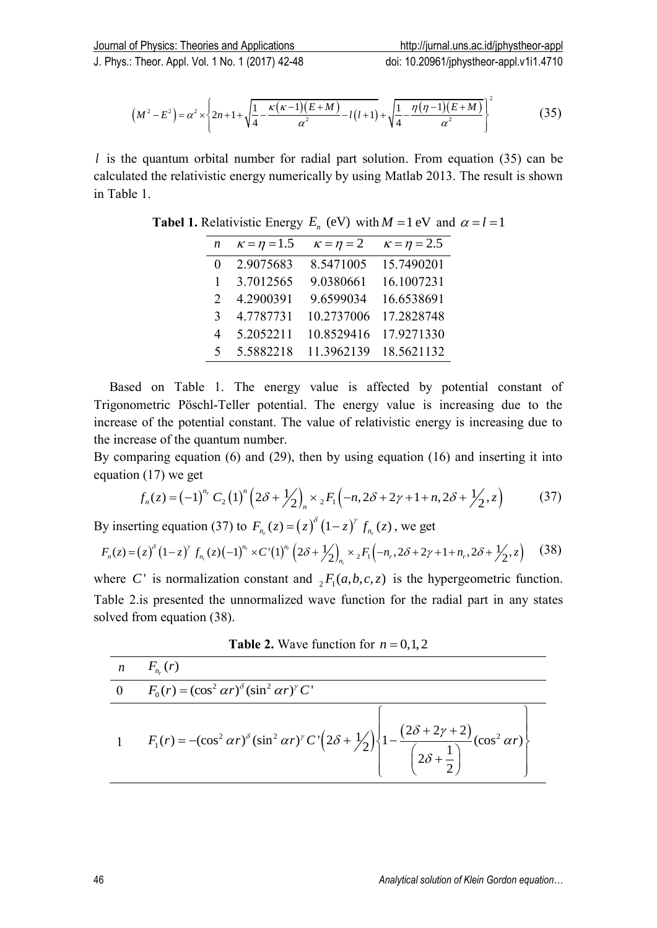: Theor. Appl. Vol. 1 No. 1 (2017) 42-48  
doi: 10.20961/jphystheor-applystheor-apply.111.4710  

$$
(M^2 - E^2) = \alpha^2 \times \left\{ 2n + 1 + \sqrt{\frac{1}{4} - \frac{\kappa(\kappa - 1)(E + M)}{\alpha^2}} - l(l+1) + \sqrt{\frac{1}{4} - \frac{\eta(\eta - 1)(E + M)}{\alpha^2}} \right\}^2
$$
(35)

| $\boldsymbol{n}$ | $\kappa = \eta = 1.5$ | $\kappa = \eta = 2$ | $\kappa = \eta = 2.5$ |
|------------------|-----------------------|---------------------|-----------------------|
| $\theta$         | 2.9075683             | 8.5471005           | 15.7490201            |
| 1                | 3.7012565             | 9.0380661           | 16.1007231            |
| $\mathcal{D}$    | 4.2900391             | 9.6599034           | 16.6538691            |
| 3                | 4.7787731             | 10.2737006          | 17.2828748            |
| 4                | 5.2052211             | 10.8529416          | 17.9271330            |
| 5                | 5.5882218             | 11.3962139          | 18.5621132            |

**Tabel 1.** Relativistic Energy  $E_n$  (eV) with  $M = 1$  eV and  $\alpha = l = 1$ 

$$
f_n(z) = (-1)^n C_2 (1)^n (2\delta + \frac{1}{2})_n \times {}_{2}F_1(-n, 2\delta + 2\gamma + 1 + n, 2\delta + \frac{1}{2}, z)
$$
 (37)

$$
f_n(z) = (-1)^{r} C_2(1) \left(2\delta + \frac{1}{2}\right)_n \times {}_2F_1\left(-n, 2\delta + 2\gamma + 1 + n, 2\delta + \frac{1}{2}, z\right) \tag{37}
$$
  
By inserting equation (37) to  $F_{n_r}(z) = (z)^{\delta} (1-z)^{r} f_{n_r}(z)$ , we get  

$$
F_n(z) = (z)^{\delta} (1-z)^{r} f_{n_r}(z) (-1)^{n_r} \times C'(1)^{n_r} \left(2\delta + \frac{1}{2}\right)_{n_r} \times {}_2F_1\left(-n_r, 2\delta + 2\gamma + 1 + n_r, 2\delta + \frac{1}{2}, z\right) \tag{38}
$$

**Table 2.** Wave function for  $n = 0,1,2$ 

|                |                                                                                                                                                          |                                  |                                                                    |                                                                                       | <b>Tabel 1.</b> Relativistic Energy $E_n$ (eV) with $M = 1$ eV and $\alpha = l = 1$                                                                                                                                                                                                                                                                                                                                                                                                                                                      |      |
|----------------|----------------------------------------------------------------------------------------------------------------------------------------------------------|----------------------------------|--------------------------------------------------------------------|---------------------------------------------------------------------------------------|------------------------------------------------------------------------------------------------------------------------------------------------------------------------------------------------------------------------------------------------------------------------------------------------------------------------------------------------------------------------------------------------------------------------------------------------------------------------------------------------------------------------------------------|------|
|                |                                                                                                                                                          | $\boldsymbol{n}$                 |                                                                    | $\kappa = \eta = 1.5$ $\kappa = \eta = 2$ $\kappa = \eta = 2.5$                       |                                                                                                                                                                                                                                                                                                                                                                                                                                                                                                                                          |      |
|                |                                                                                                                                                          | $\overline{0}$                   |                                                                    | 2.9075683 8.5471005 15.7490201                                                        |                                                                                                                                                                                                                                                                                                                                                                                                                                                                                                                                          |      |
|                |                                                                                                                                                          | $\mathbf{1}$                     | 3.7012565                                                          | 9.0380661                                                                             | 16.1007231                                                                                                                                                                                                                                                                                                                                                                                                                                                                                                                               |      |
|                |                                                                                                                                                          | 2                                | 4.2900391                                                          | 9.6599034                                                                             | 16.6538691                                                                                                                                                                                                                                                                                                                                                                                                                                                                                                                               |      |
|                |                                                                                                                                                          | 3 <sup>1</sup><br>$\overline{4}$ | 4.7787731                                                          | 10.2737006<br>10.8529416                                                              | 17.2828748<br>17.9271330                                                                                                                                                                                                                                                                                                                                                                                                                                                                                                                 |      |
|                |                                                                                                                                                          | 5                                | 5.2052211<br>5.5882218                                             | 11.3962139                                                                            | 18.5621132                                                                                                                                                                                                                                                                                                                                                                                                                                                                                                                               |      |
|                |                                                                                                                                                          |                                  |                                                                    |                                                                                       |                                                                                                                                                                                                                                                                                                                                                                                                                                                                                                                                          |      |
|                | increase of the potential constant. The value of relativistic energy is increasing due to<br>the increase of the quantum number.<br>equation (17) we get |                                  |                                                                    |                                                                                       | By comparing equation (6) and (29), then by using equation (16) and inserting it into                                                                                                                                                                                                                                                                                                                                                                                                                                                    | (37) |
|                |                                                                                                                                                          |                                  |                                                                    | By inserting equation (37) to $F_{n_r}(z) = (z)^{\delta} (1-z)^r f_{n_r}(z)$ , we get | $f_n(z) = (-1)^{n_r} C_2 (1)^n \left(2\delta + \frac{1}{2}\right)_{x \to 2} F_1 \left(-n, 2\delta + 2\gamma + 1 + n, 2\delta + \frac{1}{2}, z\right)$<br>$F_n(z) = (z)^{\delta} (1-z)^{\gamma} f_{n_r}(z) (-1)^{n_r} \times C'(1)^{n_r} (2 \delta + \frac{1}{2})_n \times {}_{2}F_1(-n_r, 2 \delta + 2\gamma + 1 + n_r, 2\delta + \frac{1}{2}, z)$<br>where C' is normalization constant and ${}_2F_1(a,b,c,z)$ is the hypergeometric function.<br>Table 2.is presented the unnormalized wave function for the radial part in any states | (38) |
|                | solved from equation (38).                                                                                                                               |                                  |                                                                    |                                                                                       |                                                                                                                                                                                                                                                                                                                                                                                                                                                                                                                                          |      |
|                |                                                                                                                                                          |                                  |                                                                    | <b>Table 2.</b> Wave function for $n = 0, 1, 2$                                       |                                                                                                                                                                                                                                                                                                                                                                                                                                                                                                                                          |      |
| n              | $F_{n_r}(r)$                                                                                                                                             |                                  |                                                                    |                                                                                       |                                                                                                                                                                                                                                                                                                                                                                                                                                                                                                                                          |      |
| $\overline{0}$ |                                                                                                                                                          |                                  | $F_0(r) = (\cos^2 \alpha r)^{\delta} (\sin^2 \alpha r)^{\gamma} C$ |                                                                                       |                                                                                                                                                                                                                                                                                                                                                                                                                                                                                                                                          |      |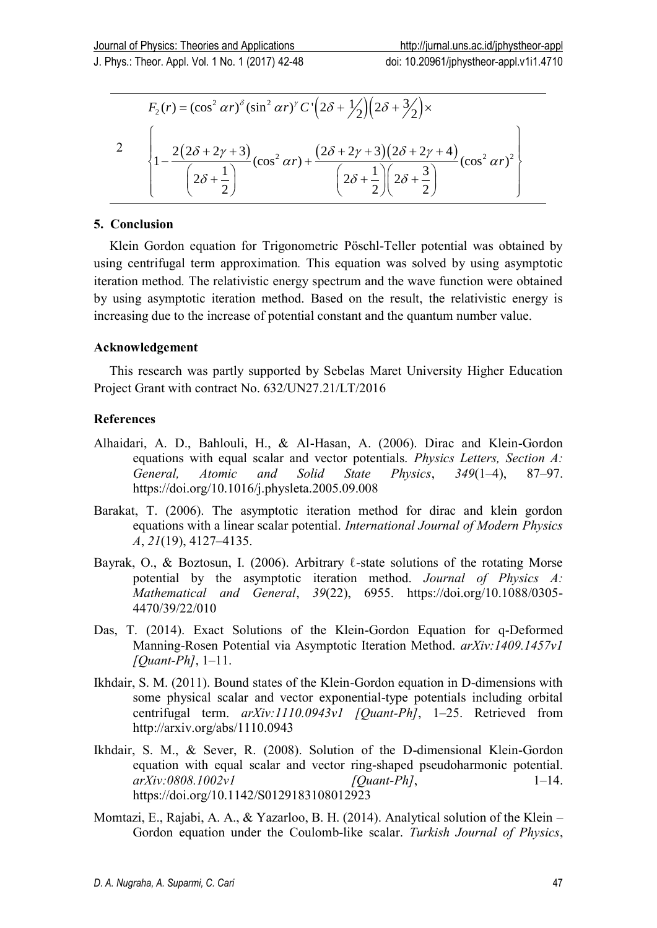nys.: Theor. Appl. Vol. 1 No. 1 (2017) 42-48  
\ndol: 10.20961/jpnystheor-appl.V111.4710  
\n
$$
F_2(r) = (\cos^2 \alpha r)^{\delta} (\sin^2 \alpha r)^{\gamma} C' (2\delta + \frac{1}{2}) (2\delta + \frac{3}{2}) \times
$$
\n
$$
2 \left\{ 1 - \frac{2(2\delta + 2\gamma + 3)}{(2\delta + \frac{1}{2})} (\cos^2 \alpha r) + \frac{(2\delta + 2\gamma + 3)(2\delta + 2\gamma + 4)}{(2\delta + \frac{1}{2}) (2\delta + \frac{3}{2})} (\cos^2 \alpha r)^2 \right\}
$$

## **5. Conclusion**

Klein Gordon equation for Trigonometric Pӧschl-Teller potential was obtained by using centrifugal term approximation*.* This equation was solved by using asymptotic iteration method*.* The relativistic energy spectrum and the wave function were obtained by using asymptotic iteration method. Based on the result, the relativistic energy is increasing due to the increase of potential constant and the quantum number value.

# **Acknowledgement**

This research was partly supported by Sebelas Maret University Higher Education Project Grant with contract No. 632/UN27.21/LT/2016

# **References**

- Alhaidari, A. D., Bahlouli, H., & Al-Hasan, A. (2006). Dirac and Klein-Gordon equations with equal scalar and vector potentials. *Physics Letters, Section A: General, Atomic and Solid State Physics*, *349*(1–4), 87–97. https://doi.org/10.1016/j.physleta.2005.09.008
- Barakat, T. (2006). The asymptotic iteration method for dirac and klein gordon equations with a linear scalar potential. *International Journal of Modern Physics A*, *21*(19), 4127–4135.
- Bayrak, O., & Boztosun, I. (2006). Arbitrary  $\ell$ -state solutions of the rotating Morse potential by the asymptotic iteration method. *Journal of Physics A: Mathematical and General*, *39*(22), 6955. https://doi.org/10.1088/0305- 4470/39/22/010
- Das, T. (2014). Exact Solutions of the Klein-Gordon Equation for q-Deformed Manning-Rosen Potential via Asymptotic Iteration Method. *arXiv:1409.1457v1 [Quant-Ph]*, 1–11.
- Ikhdair, S. M. (2011). Bound states of the Klein-Gordon equation in D-dimensions with some physical scalar and vector exponential-type potentials including orbital centrifugal term. *arXiv:1110.0943v1 [Quant-Ph]*, 1–25. Retrieved from http://arxiv.org/abs/1110.0943
- Ikhdair, S. M., & Sever, R. (2008). Solution of the D-dimensional Klein-Gordon equation with equal scalar and vector ring-shaped pseudoharmonic potential. *arXiv:0808.1002v1 [Quant-Ph]*, 1–14. https://doi.org/10.1142/S0129183108012923
- Momtazi, E., Rajabi, A. A., & Yazarloo, B. H. (2014). Analytical solution of the Klein Gordon equation under the Coulomb-like scalar. *Turkish Journal of Physics*,